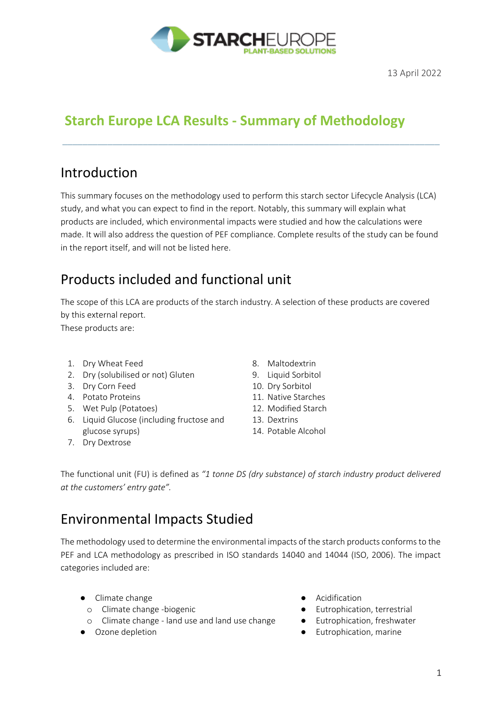

# **Starch Europe LCA Results - Summary of Methodology**

### Introduction

This summary focuses on the methodology used to perform this starch sector Lifecycle Analysis (LCA) study, and what you can expect to find in the report. Notably, this summary will explain what products are included, which environmental impacts were studied and how the calculations were made. It will also address the question of PEF compliance. Complete results of the study can be found in the report itself, and will not be listed here.

\_\_\_\_\_\_\_\_\_\_\_\_\_\_\_\_\_\_\_\_\_\_\_\_\_\_\_\_\_\_\_\_\_\_\_\_\_\_\_\_\_\_\_\_\_\_\_\_\_\_\_\_\_\_\_\_\_\_\_\_\_\_\_\_\_\_\_\_\_\_\_\_\_\_\_

# Products included and functional unit

The scope of this LCA are products of the starch industry. A selection of these products are covered by this external report.

These products are:

- 1. Dry Wheat Feed
- 2. Dry (solubilised or not) Gluten
- 3. Dry Corn Feed
- 4. Potato Proteins
- 5. Wet Pulp (Potatoes)
- 6. Liquid Glucose (including fructose and glucose syrups)
- 7. Dry Dextrose
- 8. Maltodextrin
- 9. Liquid Sorbitol
- 10. Dry Sorbitol
- 11. Native Starches
- 12. Modified Starch
- 13. Dextrins
- 14. Potable Alcohol

The functional unit (FU) is defined as *"1 tonne DS (dry substance) of starch industry product delivered at the customers' entry gate".*

### Environmental Impacts Studied

The methodology used to determine the environmental impacts of the starch products conforms to the PEF and LCA methodology as prescribed in ISO standards 14040 and 14044 (ISO, 2006). The impact categories included are:

- Climate change
	- o Climate change -biogenic
- o Climate change land use and land use change
- Ozone depletion
- Acidification
- Eutrophication, terrestrial
- Eutrophication, freshwater
- Eutrophication, marine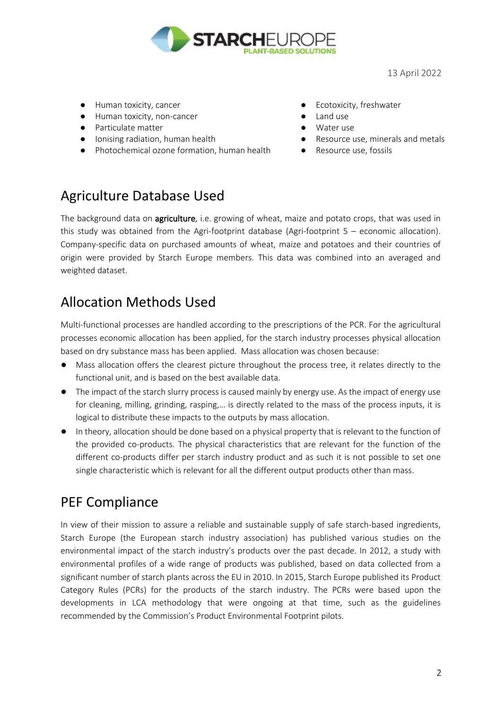

13 April 2022

- Human toxicity, cancer
- Human toxicity, non-cancer
- Particulate matter
- Ionising radiation, human health
- Photochemical ozone formation, human health
- Ecotoxicity, freshwater
- Land use
- Water use
- Resource use, minerals and metals
- Resource use, fossils

#### Agriculture Database Used

The background data on **agriculture**, i.e. growing of wheat, maize and potato crops, that was used in this study was obtained from the Agri-footprint database (Agri-footprint 5 – economic allocation). Company-specific data on purchased amounts of wheat, maize and potatoes and their countries of origin were provided by Starch Europe members. This data was combined into an averaged and weighted dataset.

### Allocation Methods Used

Multi-functional processes are handled according to the prescriptions of the PCR. For the agricultural processes economic allocation has been applied, for the starch industry processes physical allocation based on dry substance mass has been applied. Mass allocation was chosen because:

- Mass allocation offers the clearest picture throughout the process tree, it relates directly to the functional unit, and is based on the best available data.
- The impact of the starch slurry process is caused mainly by energy use. As the impact of energy use for cleaning, milling, grinding, rasping,… is directly related to the mass of the process inputs, it is logical to distribute these impacts to the outputs by mass allocation.
- In theory, allocation should be done based on a physical property that is relevant to the function of the provided co-products. The physical characteristics that are relevant for the function of the different co-products differ per starch industry product and as such it is not possible to set one single characteristic which is relevant for all the different output products other than mass.

### PEF Compliance

In view of their mission to assure a reliable and sustainable supply of safe starch-based ingredients, Starch Europe (the European starch industry association) has published various studies on the environmental impact of the starch industry's products over the past decade. In 2012, a study with environmental profiles of a wide range of products was published, based on data collected from a significant number of starch plants across the EU in 2010. In 2015, Starch Europe published its Product Category Rules (PCRs) for the products of the starch industry. The PCRs were based upon the developments in LCA methodology that were ongoing at that time, such as the guidelines recommended by the Commission's Product Environmental Footprint pilots.